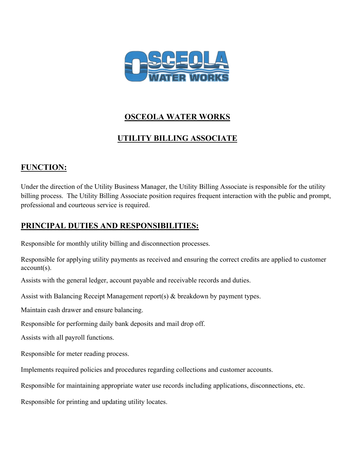

## **OSCEOLA WATER WORKS**

# **UTILITY BILLING ASSOCIATE**

## **FUNCTION:**

Under the direction of the Utility Business Manager, the Utility Billing Associate is responsible for the utility billing process. The Utility Billing Associate position requires frequent interaction with the public and prompt, professional and courteous service is required.

## **PRINCIPAL DUTIES AND RESPONSIBILITIES:**

Responsible for monthly utility billing and disconnection processes.

Responsible for applying utility payments as received and ensuring the correct credits are applied to customer account(s).

Assists with the general ledger, account payable and receivable records and duties.

Assist with Balancing Receipt Management report(s) & breakdown by payment types.

Maintain cash drawer and ensure balancing.

Responsible for performing daily bank deposits and mail drop off.

Assists with all payroll functions.

Responsible for meter reading process.

Implements required policies and procedures regarding collections and customer accounts.

Responsible for maintaining appropriate water use records including applications, disconnections, etc.

Responsible for printing and updating utility locates.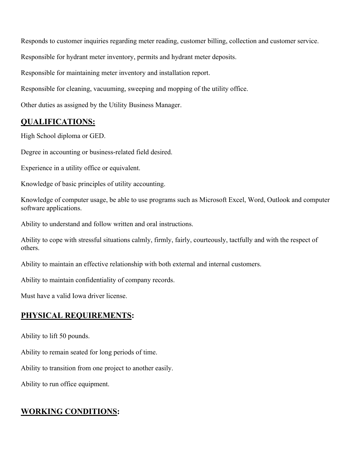Responds to customer inquiries regarding meter reading, customer billing, collection and customer service.

Responsible for hydrant meter inventory, permits and hydrant meter deposits.

Responsible for maintaining meter inventory and installation report.

Responsible for cleaning, vacuuming, sweeping and mopping of the utility office.

Other duties as assigned by the Utility Business Manager.

### **QUALIFICATIONS:**

High School diploma or GED.

Degree in accounting or business-related field desired.

Experience in a utility office or equivalent.

Knowledge of basic principles of utility accounting.

Knowledge of computer usage, be able to use programs such as Microsoft Excel, Word, Outlook and computer software applications.

Ability to understand and follow written and oral instructions.

Ability to cope with stressful situations calmly, firmly, fairly, courteously, tactfully and with the respect of others.

Ability to maintain an effective relationship with both external and internal customers.

Ability to maintain confidentiality of company records.

Must have a valid Iowa driver license.

### **PHYSICAL REQUIREMENTS:**

Ability to lift 50 pounds.

Ability to remain seated for long periods of time.

Ability to transition from one project to another easily.

Ability to run office equipment.

### **WORKING CONDITIONS:**